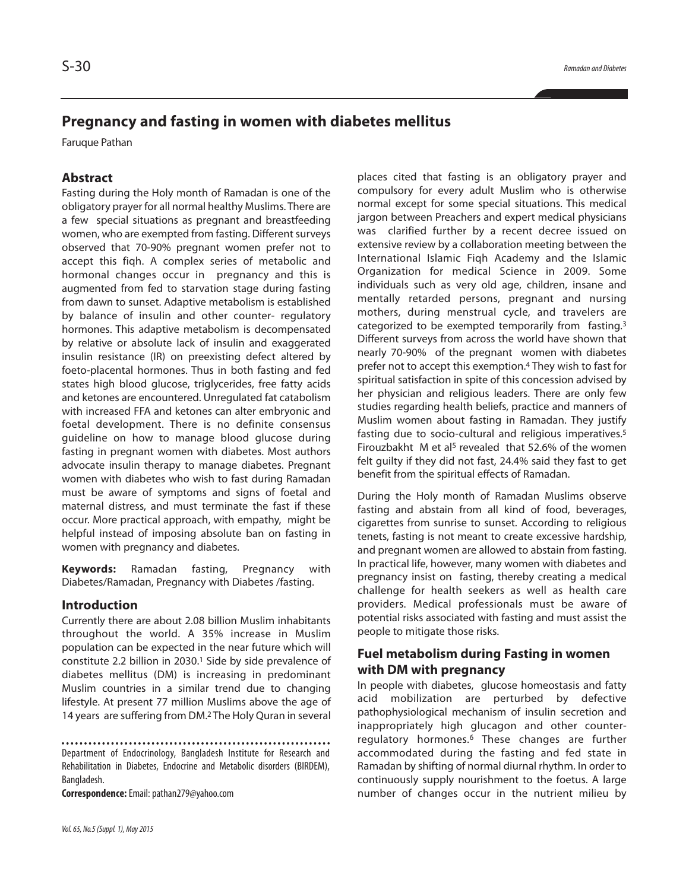# **Pregnancy and fasting in women with diabetes mellitus**

Faruque Pathan

## **Abstract**

Fasting during the Holy month of Ramadan is one of the obligatory prayer for all normal healthy Muslims. There are a few special situations as pregnant and breastfeeding women, who are exempted from fasting. Different surveys observed that 70-90% pregnant women prefer not to accept this fiqh. A complex series of metabolic and hormonal changes occur in pregnancy and this is augmented from fed to starvation stage during fasting from dawn to sunset. Adaptive metabolism is established by balance of insulin and other counter- regulatory hormones. This adaptive metabolism is decompensated by relative or absolute lack of insulin and exaggerated insulin resistance (IR) on preexisting defect altered by foeto-placental hormones. Thus in both fasting and fed states high blood glucose, triglycerides, free fatty acids and ketones are encountered. Unregulated fat catabolism with increased FFA and ketones can alter embryonic and foetal development. There is no definite consensus guideline on how to manage blood glucose during fasting in pregnant women with diabetes. Most authors advocate insulin therapy to manage diabetes. Pregnant women with diabetes who wish to fast during Ramadan must be aware of symptoms and signs of foetal and maternal distress, and must terminate the fast if these occur. More practical approach, with empathy, might be helpful instead of imposing absolute ban on fasting in women with pregnancy and diabetes.

**Keywords:** Ramadan fasting, Pregnancy with Diabetes/Ramadan, Pregnancy with Diabetes /fasting.

### **Introduction**

Currently there are about 2.08 billion Muslim inhabitants throughout the world. A 35% increase in Muslim population can be expected in the near future which will constitute 2.2 billion in 2030. <sup>1</sup> Side by side prevalence of diabetes mellitus (DM) is increasing in predominant Muslim countries in a similar trend due to changing lifestyle. At present 77 million Muslims above the age of 14 years are suffering from DM. <sup>2</sup> The Holy Quran in several

**Correspondence:**Email:pathan279@yahoo.com

places cited that fasting is an obligatory prayer and compulsory for every adult Muslim who is otherwise normal except for some special situations. This medical jargon between Preachers and expert medical physicians was clarified further by a recent decree issued on extensive review by a collaboration meeting between the International Islamic Fiqh Academy and the Islamic Organization for medical Science in 2009. Some individuals such as very old age, children, insane and mentally retarded persons, pregnant and nursing mothers, during menstrual cycle, and travelers are categorized to be exempted temporarily from fasting.<sup>3</sup> Different surveys from across the world have shown that nearly 70-90% of the pregnant women with diabetes prefer not to accept this exemption. <sup>4</sup> They wish to fast for spiritual satisfaction in spite of this concession advised by her physician and religious leaders. There are only few studies regarding health beliefs, practice and manners of Muslim women about fasting in Ramadan. They justify fasting due to socio-cultural and religious imperatives. 5 Firouzbakht  $M$  et al<sup>5</sup> revealed that 52.6% of the women felt guilty if they did not fast, 24.4% said they fast to get benefit from the spiritual effects of Ramadan.

During the Holy month of Ramadan Muslims observe fasting and abstain from all kind of food, beverages, cigarettes from sunrise to sunset. According to religious tenets, fasting is not meant to create excessive hardship, and pregnant women are allowed to abstain from fasting. In practical life, however, many women with diabetes and pregnancy insist on fasting, thereby creating a medical challenge for health seekers as well as health care providers. Medical professionals must be aware of potential risks associated with fasting and must assist the people to mitigate those risks.

## **Fuel metabolism during Fasting in women with DM with pregnancy**

In people with diabetes, glucose homeostasis and fatty acid mobilization are perturbed by defective pathophysiological mechanism of insulin secretion and inappropriately high glucagon and other counterregulatory hormones. <sup>6</sup> These changes are further accommodated during the fasting and fed state in Ramadan by shifting of normal diurnal rhythm. In order to continuously supply nourishment to the foetus. A large number of changes occur in the nutrient milieu by

Department of Endocrinology, Bangladesh Institute for Research and Rehabilitation in Diabetes, Endocrine and Metabolic disorders (BIRDEM), Bangladesh.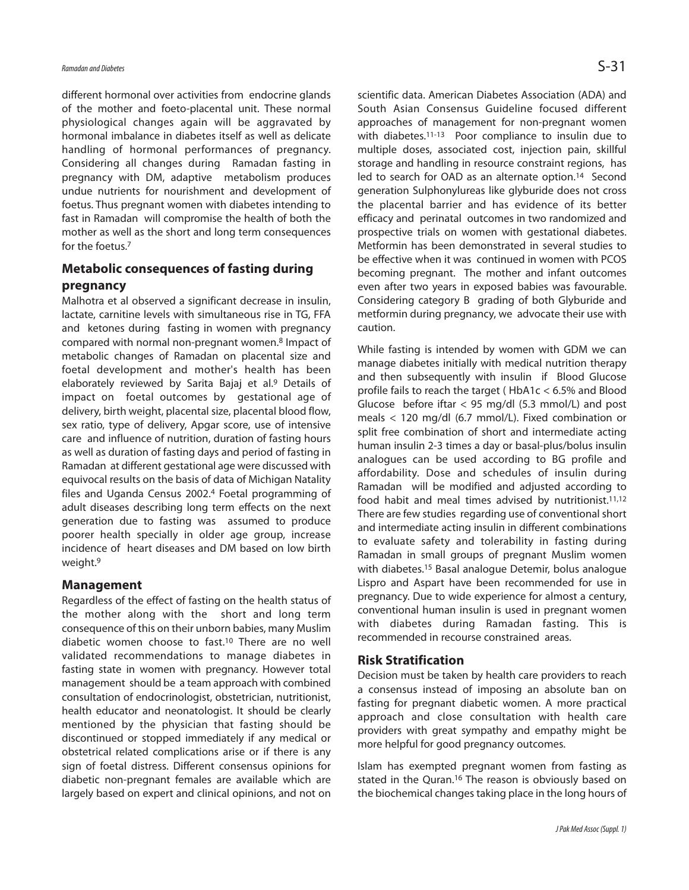different hormonal over activities from endocrine glands of the mother and foeto-placental unit. These normal physiological changes again will be aggravated by hormonal imbalance in diabetes itself as well as delicate handling of hormonal performances of pregnancy. Considering all changes during Ramadan fasting in pregnancy with DM, adaptive metabolism produces undue nutrients for nourishment and development of foetus. Thus pregnant women with diabetes intending to fast in Ramadan will compromise the health of both the mother as well as the short and long term consequences for the foetus. 7

## **Metabolic consequences of fasting during pregnancy**

Malhotra et al observed a significant decrease in insulin, lactate, carnitine levels with simultaneous rise in TG, FFA and ketones during fasting in women with pregnancy compared with normal non-pregnant women. <sup>8</sup> Impact of metabolic changes of Ramadan on placental size and foetal development and mother's health has been elaborately reviewed by Sarita Bajaj et al. <sup>9</sup> Details of impact on foetal outcomes by gestational age of delivery, birth weight, placental size, placental blood flow, sex ratio, type of delivery, Apgar score, use of intensive care and influence of nutrition, duration of fasting hours as well as duration of fasting days and period of fasting in Ramadan at different gestational age were discussed with equivocal results on the basis of data of Michigan Natality files and Uganda Census 2002. <sup>4</sup> Foetal programming of adult diseases describing long term effects on the next generation due to fasting was assumed to produce poorer health specially in older age group, increase incidence of heart diseases and DM based on low birth weight. 9

#### **Management**

Regardless of the effect of fasting on the health status of the mother along with the short and long term consequence of this on their unborn babies, many Muslim diabetic women choose to fast. <sup>10</sup> There are no well validated recommendations to manage diabetes in fasting state in women with pregnancy. However total management should be a team approach with combined consultation of endocrinologist, obstetrician, nutritionist, health educator and neonatologist. It should be clearly mentioned by the physician that fasting should be discontinued or stopped immediately if any medical or obstetrical related complications arise or if there is any sign of foetal distress. Different consensus opinions for diabetic non-pregnant females are available which are largely based on expert and clinical opinions, and not on

scientific data. American Diabetes Association (ADA) and South Asian Consensus Guideline focused different approaches of management for non-pregnant women with diabetes.<sup>11-13</sup> Poor compliance to insulin due to multiple doses, associated cost, injection pain, skillful storage and handling in resource constraint regions, has led to search for OAD as an alternate option. <sup>14</sup> Second generation Sulphonylureas like glyburide does not cross the placental barrier and has evidence of its better efficacy and perinatal outcomes in two randomized and prospective trials on women with gestational diabetes. Metformin has been demonstrated in several studies to be effective when it was continued in women with PCOS becoming pregnant. The mother and infant outcomes even after two years in exposed babies was favourable. Considering category B grading of both Glyburide and metformin during pregnancy, we advocate their use with caution.

While fasting is intended by women with GDM we can manage diabetes initially with medical nutrition therapy and then subsequently with insulin if Blood Glucose profile fails to reach the target ( HbA1c < 6.5% and Blood Glucose before iftar  $<$  95 mg/dl (5.3 mmol/L) and post meals < 120 mg/dl (6.7 mmol/L). Fixed combination or split free combination of short and intermediate acting human insulin 2-3 times a day or basal-plus/bolus insulin analogues can be used according to BG profile and affordability. Dose and schedules of insulin during Ramadan will be modified and adjusted according to food habit and meal times advised by nutritionist.<sup>11,12</sup> There are few studies regarding use of conventional short and intermediate acting insulin in different combinations to evaluate safety and tolerability in fasting during Ramadan in small groups of pregnant Muslim women with diabetes. <sup>15</sup> Basal analogue Detemir, bolus analogue Lispro and Aspart have been recommended for use in pregnancy. Due to wide experience for almost a century, conventional human insulin is used in pregnant women with diabetes during Ramadan fasting. This is recommended in recourse constrained areas.

#### **Risk Stratification**

Decision must be taken by health care providers to reach a consensus instead of imposing an absolute ban on fasting for pregnant diabetic women. A more practical approach and close consultation with health care providers with great sympathy and empathy might be more helpful for good pregnancy outcomes.

Islam has exempted pregnant women from fasting as stated in the Quran.<sup>16</sup> The reason is obviously based on the biochemical changes taking place in the long hours of